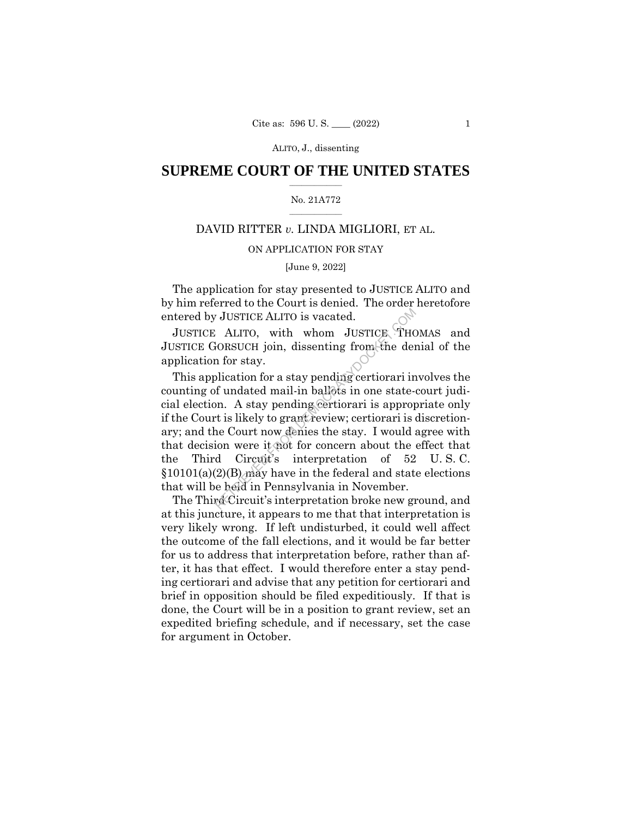# $\frac{1}{2}$  ,  $\frac{1}{2}$  ,  $\frac{1}{2}$  ,  $\frac{1}{2}$  ,  $\frac{1}{2}$  ,  $\frac{1}{2}$  ,  $\frac{1}{2}$ **SUPREME COURT OF THE UNITED STATES**

#### $\frac{1}{2}$  ,  $\frac{1}{2}$  ,  $\frac{1}{2}$  ,  $\frac{1}{2}$  ,  $\frac{1}{2}$  ,  $\frac{1}{2}$ No. 21A772

# DAVID RITTER *v.* LINDA MIGLIORI, ET AL.

# ON APPLICATION FOR STAY

### [June 9, 2022]

The application for stay presented to JUSTICE ALITO and by him referred to the Court is denied. The order heretofore entered by JUSTICE ALITO is vacated.

JUSTICE ALITO, with whom JUSTICE THOMAS and JUSTICE GORSUCH join, dissenting from the denial of the application for stay.

This application for a stay pending certiorari involves the counting of undated mail-in ballots in one state-court judicial election. A stay pending certiorari is appropriate only if the Court is likely to grant review; certiorari is discretionary; and the Court now denies the stay. I would agree with that decision were it not for concern about the effect that the Third Circuit's interpretation of 52 U. S. C. §10101(a)(2)(B) may have in the federal and state elections that will be held in Pennsylvania in November. FORSUCH join, dissenting from the demonstrated:<br>
RETRIEVED FROM ALLITO, with whom JUSTICK THC<br>
RETRIEVED FROM A SECUTE OF THE APPLICATION<br>
of undated mail-in ballots in one state-<br>
on. A stay pending certiorari is approp<br>

The Third Circuit's interpretation broke new ground, and at this juncture, it appears to me that that interpretation is very likely wrong. If left undisturbed, it could well affect the outcome of the fall elections, and it would be far better for us to address that interpretation before, rather than after, it has that effect. I would therefore enter a stay pending certiorari and advise that any petition for certiorari and brief in opposition should be filed expeditiously. If that is done, the Court will be in a position to grant review, set an expedited briefing schedule, and if necessary, set the case for argument in October.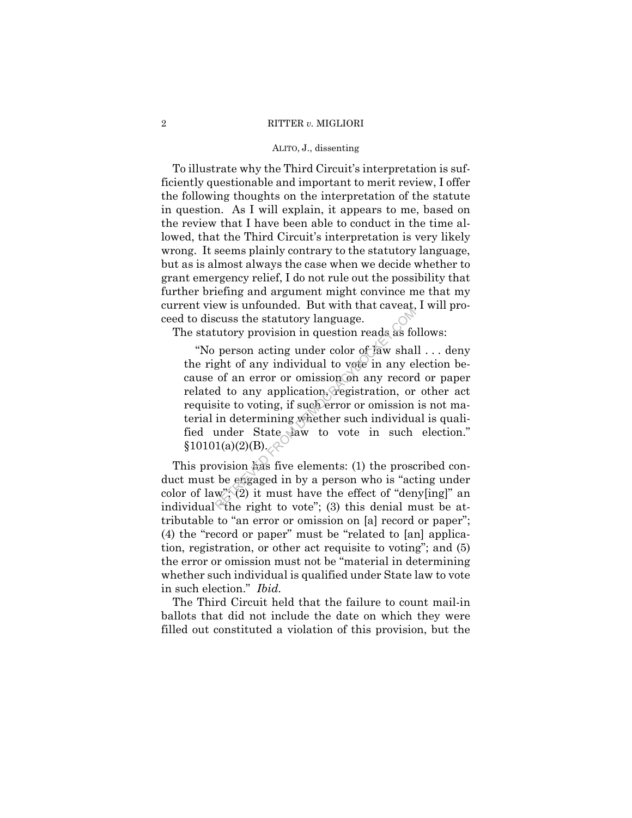#### 2 RITTER *v.* MIGLIORI

#### ALITO, J., dissenting

To illustrate why the Third Circuit's interpretation is sufficiently questionable and important to merit review, I offer the following thoughts on the interpretation of the statute in question. As I will explain, it appears to me, based on the review that I have been able to conduct in the time allowed, that the Third Circuit's interpretation is very likely wrong. It seems plainly contrary to the statutory language, but as is almost always the case when we decide whether to grant emergency relief, I do not rule out the possibility that further briefing and argument might convince me that my current view is unfounded. But with that caveat, I will proceed to discuss the statutory language.

The statutory provision in question reads as follows:

"No person acting under color of law shall . . . deny the right of any individual to vote in any election because of an error or omission on any record or paper related to any application, registration, or other act requisite to voting, if such error or omission is not material in determining whether such individual is qualified under State law to vote in such election."<br>§10101(a)(2)(B). From a differentiative in question reads as for person acting under color of law shall<br>ght of any individual to vote in any e of an error or omission on any record to any application, registration, or site to voting, if s

This provision has five elements: (1) the proscribed conduct must be engaged in by a person who is "acting under color of law";  $(2)$  it must have the effect of "deny[ing]" an individual "the right to vote"; (3) this denial must be attributable to "an error or omission on [a] record or paper"; (4) the "record or paper" must be "related to [an] application, registration, or other act requisite to voting"; and (5) the error or omission must not be "material in determining whether such individual is qualified under State law to vote in such election." *Ibid.* 

The Third Circuit held that the failure to count mail-in ballots that did not include the date on which they were filled out constituted a violation of this provision, but the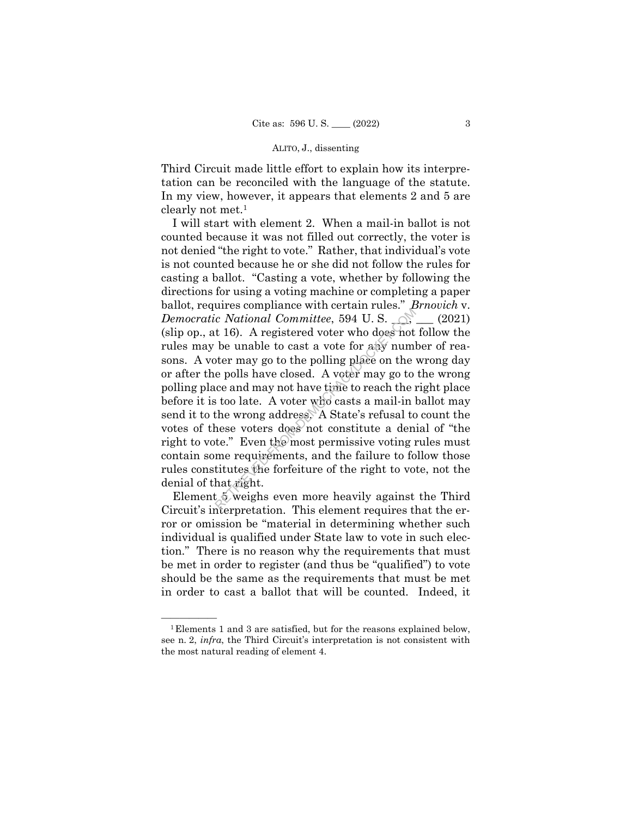Third Circuit made little effort to explain how its interpretation can be reconciled with the language of the statute. In my view, however, it appears that elements 2 and 5 are clearly not met.1

I will start with element 2. When a mail-in ballot is not counted because it was not filled out correctly, the voter is not denied "the right to vote." Rather, that individual's vote is not counted because he or she did not follow the rules for casting a ballot. "Casting a vote, whether by following the directions for using a voting machine or completing a paper ballot, requires compliance with certain rules." *Brnovich* v. *Democratic National Committee*, 594 U.S.  $\bigcirc$ ,  $\bigcirc$ ,  $\bigcirc$  (2021) (slip op., at 16). A registered voter who does not follow the rules may be unable to cast a vote for any number of reasons. A voter may go to the polling place on the wrong day or after the polls have closed. A voter may go to the wrong polling place and may not have time to reach the right place before it is too late. A voter who casts a mail-in ballot may send it to the wrong address. A State's refusal to count the votes of these voters does not constitute a denial of "the right to vote." Even the most permissive voting rules must contain some requirements, and the failure to follow those rules constitutes the forfeiture of the right to vote, not the denial of that right. c National Committee, 594 U.S.<br>
c National Committee, 594 U.S.<br>
t 16). A registered voter who does not<br>
be unable to cast a vote for any num<br>
oter may go to the polling place on the<br>
e polls have closed. A voter may go to

Element 5 weighs even more heavily against the Third Circuit's interpretation. This element requires that the error or omission be "material in determining whether such individual is qualified under State law to vote in such election." There is no reason why the requirements that must be met in order to register (and thus be "qualified") to vote should be the same as the requirements that must be met in order to cast a ballot that will be counted. Indeed, it

 $^1$ Elements 1 and 3 are satisfied, but for the reasons explained below, see n. 2, *infra*, the Third Circuit's interpretation is not consistent with the most natural reading of element 4.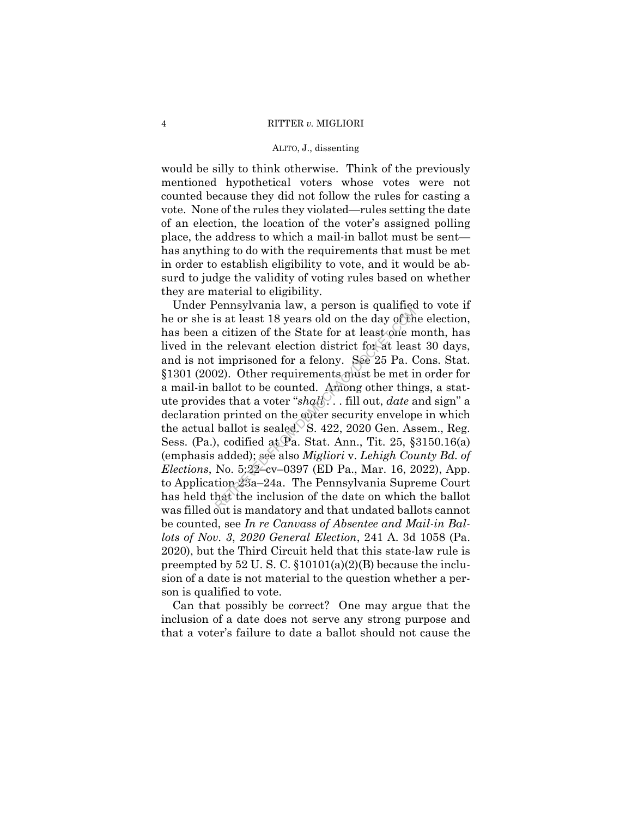would be silly to think otherwise. Think of the previously mentioned hypothetical voters whose votes were not counted because they did not follow the rules for casting a vote. None of the rules they violated—rules setting the date of an election, the location of the voter's assigned polling place, the address to which a mail-in ballot must be sent has anything to do with the requirements that must be met in order to establish eligibility to vote, and it would be absurd to judge the validity of voting rules based on whether they are material to eligibility.

Under Pennsylvania law, a person is qualified to vote if he or she is at least 18 years old on the day of the election, has been a citizen of the State for at least one month, has lived in the relevant election district for at least 30 days, and is not imprisoned for a felony. See 25 Pa. Cons. Stat. §1301 (2002). Other requirements must be met in order for a mail-in ballot to be counted. Among other things, a statute provides that a voter "*shall . . .* fill out, *date* and sign" a declaration printed on the outer security envelope in which the actual ballot is sealed. S. 422, 2020 Gen. Assem., Reg. Sess. (Pa.), codified at Pa. Stat. Ann., Tit. 25,  $\S 3150.16(a)$ (emphasis added); see also *Migliori* v. *Lehigh County Bd. of Elections*, No. 5:22–cv–0397 (ED Pa., Mar. 16, 2022), App. to Application 23a–24a. The Pennsylvania Supreme Court has held that the inclusion of the date on which the ballot was filled out is mandatory and that undated ballots cannot be counted, see *In re Canvass of Absentee and Mail-in Ballots of Nov. 3*, *2020 General Election*, 241 A. 3d 1058 (Pa. 2020), but the Third Circuit held that this state-law rule is preempted by  $52 \text{ U. S. C. } $10101(a)(2)(B)$  because the inclusion of a date is not material to the question whether a person is qualified to vote. is at least 18 years old on the day of the<br>a citizen of the State for at least one ne relevant election district for at least<br>imprisoned for a felony. See 25 Pa. (<br>02). Other requirements must be met in<br>pallot to be count

Can that possibly be correct? One may argue that the inclusion of a date does not serve any strong purpose and that a voter's failure to date a ballot should not cause the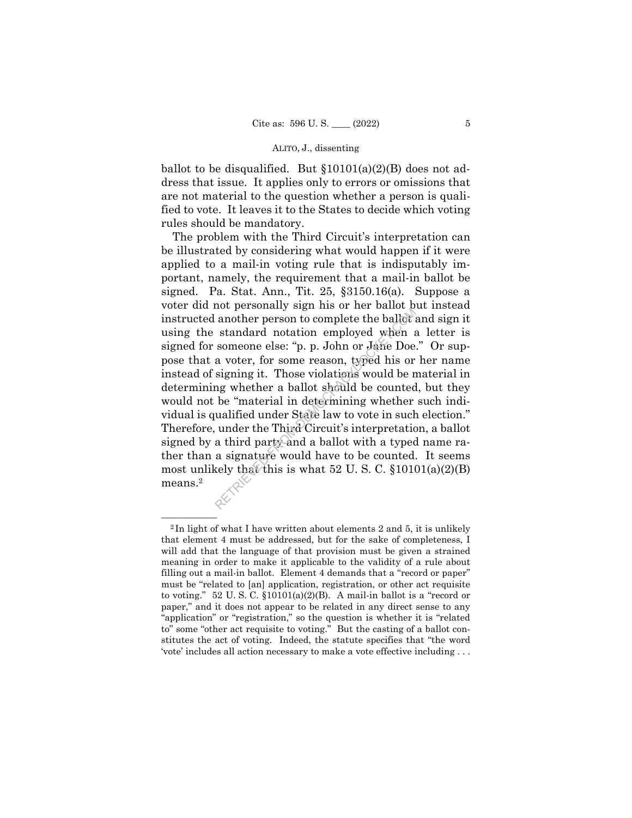ballot to be disqualified. But  $$10101(a)(2)(B)$  does not address that issue. It applies only to errors or omissions that are not material to the question whether a person is qualified to vote. It leaves it to the States to decide which voting rules should be mandatory.

The problem with the Third Circuit's interpretation can be illustrated by considering what would happen if it were applied to a mail-in voting rule that is indisputably important, namely, the requirement that a mail-in ballot be signed. Pa. Stat. Ann., Tit. 25, §3150.16(a). Suppose a voter did not personally sign his or her ballot but instead instructed another person to complete the ballot and sign it using the standard notation employed when a letter is signed for someone else: "p. p. John or Jane Doe." Or suppose that a voter, for some reason, typed his or her name instead of signing it. Those violations would be material in determining whether a ballot should be counted, but they would not be "material in determining whether such individual is qualified under State law to vote in such election." Therefore, under the Third Circuit's interpretation, a ballot signed by a third party and a ballot with a typed name rather than a signature would have to be counted. It seems most unlikely that this is what 52 U.S.C.  $$10101(a)(2)(B)$ means.2 another personally sign ins of net sance another person to complete the ballot is standard notation employed when a someone else: "p. p. John or Jane Doe a voter, for some reason, typed his or signing it. Those violations

 $2$ In light of what I have written about elements 2 and 5, it is unlikely that element 4 must be addressed, but for the sake of completeness, I will add that the language of that provision must be given a strained meaning in order to make it applicable to the validity of a rule about filling out a mail-in ballot. Element 4 demands that a "record or paper" must be "related to [an] application, registration, or other act requisite to voting." 52 U. S. C. §10101(a)(2)(B). A mail-in ballot is a "record or paper," and it does not appear to be related in any direct sense to any "application" or "registration," so the question is whether it is "related to" some "other act requisite to voting." But the casting of a ballot constitutes the act of voting. Indeed, the statute specifies that "the word 'vote' includes all action necessary to make a vote effective including . . .